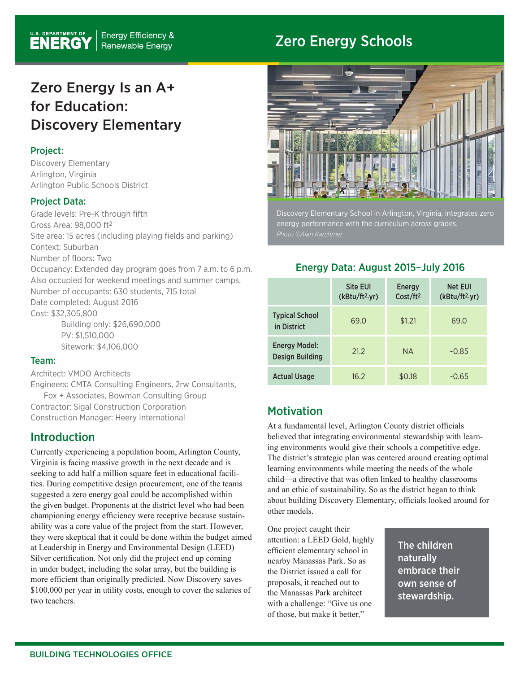## Zero Energy Schools

# Zero Energy Is an A+ for Education: Discovery Elementary

#### Project:

Discovery Elementary Arlington, Virginia Arlington Public Schools District

## Project Data:

Grade levels: Pre-K through fifth Gross Area: 98,000 ft2 Site area: 15 acres (including playing fields and parking) Context: Suburban Number of floors: Two Occupancy: Extended day program goes from 7 a.m. to 6 p.m. Also occupied for weekend meetings and summer camps. Number of occupants: 630 students, 715 total Date completed: August 2016 Cost: \$32,305,800 Building only: \$26,690,000 PV: \$1,510,000

Sitework: \$4,106,000

#### Team:

Architect: VMDO Architects Engineers: CMTA Consulting Engineers, 2rw Consultants, Fox + Associates, Bowman Consulting Group Contractor: Sigal Construction Corporation

Construction Manager: Heery International

## Introduction

Currently experiencing a population boom, Arlington County, Virginia is facing massive growth in the next decade and is seeking to add half a million square feet in educational facilities. During competitive design procurement, one of the teams suggested a zero energy goal could be accomplished within the given budget. Proponents at the district level who had been championing energy efficiency were receptive because sustainability was a core value of the project from the start. However, they were skeptical that it could be done within the budget aimed at Leadership in Energy and Environmental Design (LEED) Silver certification. Not only did the project end up coming in under budget, including the solar array, but the building is more efficient than originally predicted. Now Discovery saves \$100,000 per year in utility costs, enough to cover the salaries of two teachers.



Discovery Elementary School in Arlington, Virginia, integrates zero energy performance with the curriculum across grades.

## Energy Data: August 2015–July 2016

|                                                | <b>Site EUI</b><br>(kBtu/ft <sup>2</sup> .yr) | Energy<br>Cost/ft <sup>2</sup> | <b>Net EUI</b><br>(kBtu/ft <sup>2</sup> yr) |
|------------------------------------------------|-----------------------------------------------|--------------------------------|---------------------------------------------|
| <b>Typical School</b><br>in District           | 69.0                                          | \$1.21                         | 69.0                                        |
| <b>Energy Model:</b><br><b>Design Building</b> | 21.2                                          | <b>NA</b>                      | $-0.85$                                     |
| <b>Actual Usage</b>                            | 16.2                                          | \$0.18                         | $-0.65$                                     |

## **Motivation**

At a fundamental level, Arlington County district officials believed that integrating environmental stewardship with learning environments would give their schools a competitive edge. The district's strategic plan was centered around creating optimal learning environments while meeting the needs of the whole child—a directive that was often linked to healthy classrooms and an ethic of sustainability. So as the district began to think about building Discovery Elementary, officials looked around for other models.

One project caught their attention: a LEED Gold, highly efficient elementary school in nearby Manassas Park. So as the District issued a call for proposals, it reached out to the Manassas Park architect with a challenge: "Give us one of those, but make it better,"

The children naturally embrace their own sense of stewardship.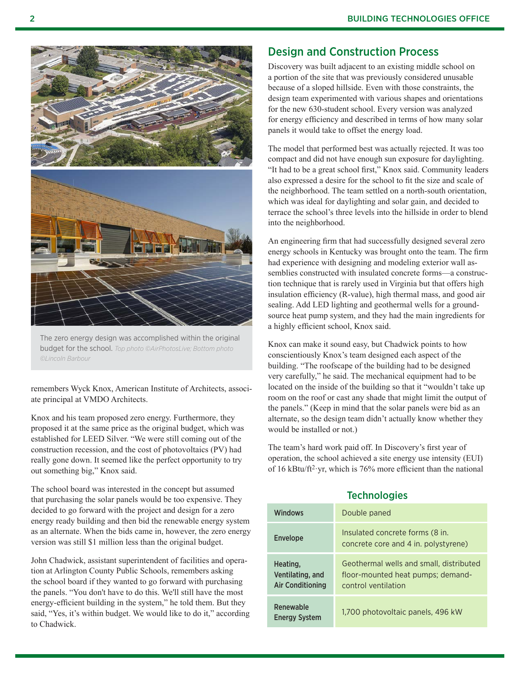

The zero energy design was accomplished within the original budget for the school. *Top photo ©AirPhotosLive; Bottom photo ©Lincoln Barbour*

remembers Wyck Knox, American Institute of Architects, associate principal at VMDO Architects.

Knox and his team proposed zero energy. Furthermore, they proposed it at the same price as the original budget, which was established for LEED Silver. "We were still coming out of the construction recession, and the cost of photovoltaics (PV) had really gone down. It seemed like the perfect opportunity to try out something big," Knox said.

The school board was interested in the concept but assumed that purchasing the solar panels would be too expensive. They decided to go forward with the project and design for a zero energy ready building and then bid the renewable energy system as an alternate. When the bids came in, however, the zero energy version was still \$1 million less than the original budget.

John Chadwick, assistant superintendent of facilities and operation at Arlington County Public Schools, remembers asking the school board if they wanted to go forward with purchasing the panels. "You don't have to do this. We'll still have the most energy-efficient building in the system," he told them. But they said, "Yes, it's within budget. We would like to do it," according to Chadwick.

## Design and Construction Process

Discovery was built adjacent to an existing middle school on a portion of the site that was previously considered unusable because of a sloped hillside. Even with those constraints, the design team experimented with various shapes and orientations for the new 630-student school. Every version was analyzed for energy efficiency and described in terms of how many solar panels it would take to offset the energy load.

The model that performed best was actually rejected. It was too compact and did not have enough sun exposure for daylighting. "It had to be a great school first," Knox said. Community leaders also expressed a desire for the school to fit the size and scale of the neighborhood. The team settled on a north-south orientation, which was ideal for daylighting and solar gain, and decided to terrace the school's three levels into the hillside in order to blend into the neighborhood.

An engineering firm that had successfully designed several zero energy schools in Kentucky was brought onto the team. The firm had experience with designing and modeling exterior wall assemblies constructed with insulated concrete forms—a construction technique that is rarely used in Virginia but that offers high insulation efficiency (R-value), high thermal mass, and good air sealing. Add LED lighting and geothermal wells for a groundsource heat pump system, and they had the main ingredients for a highly efficient school, Knox said.

Knox can make it sound easy, but Chadwick points to how conscientiously Knox's team designed each aspect of the building. "The roofscape of the building had to be designed very carefully," he said. The mechanical equipment had to be located on the inside of the building so that it "wouldn't take up room on the roof or cast any shade that might limit the output of the panels." (Keep in mind that the solar panels were bid as an alternate, so the design team didn't actually know whether they would be installed or not.)

The team's hard work paid off. In Discovery's first year of operation, the school achieved a site energy use intensity (EUI) of 16 kBtu/ft2·yr, which is 76% more efficient than the national

## **Technologies**

| <b>Windows</b>                                          | Double paned                                                                                        |
|---------------------------------------------------------|-----------------------------------------------------------------------------------------------------|
| <b>Envelope</b>                                         | Insulated concrete forms (8 in.<br>concrete core and 4 in. polystyrene)                             |
| Heating.<br>Ventilating, and<br><b>Air Conditioning</b> | Geothermal wells and small, distributed<br>floor-mounted heat pumps; demand-<br>control ventilation |
| Renewable<br><b>Energy System</b>                       | 1,700 photovoltaic panels, 496 kW                                                                   |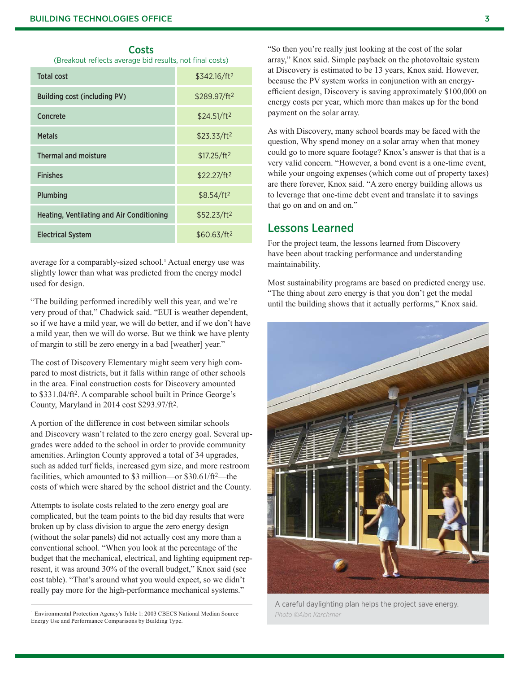**Costs** 

(Breakout reflects average bid results, not final costs)

| <b>Total cost</b>                                | $$342.16/ft^2$           |
|--------------------------------------------------|--------------------------|
| <b>Building cost (including PV)</b>              | \$289.97/ft <sup>2</sup> |
| Concrete                                         | \$24.51/ft <sup>2</sup>  |
| <b>Metals</b>                                    | \$23.33/ft <sup>2</sup>  |
| <b>Thermal and moisture</b>                      | \$17.25/ft <sup>2</sup>  |
| <b>Finishes</b>                                  | \$22.27/ft <sup>2</sup>  |
| Plumbing                                         | \$8.54/ft <sup>2</sup>   |
| <b>Heating, Ventilating and Air Conditioning</b> | \$52.23/ft <sup>2</sup>  |
| <b>Electrical System</b>                         | \$60.63/ft2              |
|                                                  |                          |

average for a comparably-sized school.<sup>1</sup> Actual energy use was slightly lower than what was predicted from the energy model used for design.

"The building performed incredibly well this year, and we're very proud of that," Chadwick said. "EUI is weather dependent, so if we have a mild year, we will do better, and if we don't have a mild year, then we will do worse. But we think we have plenty of margin to still be zero energy in a bad [weather] year."

The cost of Discovery Elementary might seem very high compared to most districts, but it falls within range of other schools in the area. Final construction costs for Discovery amounted to \$331.04/ft2. A comparable school built in Prince George's County, Maryland in 2014 cost \$293.97/ft2.

A portion of the difference in cost between similar schools and Discovery wasn't related to the zero energy goal. Several upgrades were added to the school in order to provide community amenities. Arlington County approved a total of 34 upgrades, such as added turf fields, increased gym size, and more restroom facilities, which amounted to \$3 million—or \$30.61/ft<sup>2</sup>—the costs of which were shared by the school district and the County.

Attempts to isolate costs related to the zero energy goal are complicated, but the team points to the bid day results that were broken up by class division to argue the zero energy design (without the solar panels) did not actually cost any more than a conventional school. "When you look at the percentage of the budget that the mechanical, electrical, and lighting equipment represent, it was around 30% of the overall budget," Knox said (see cost table). "That's around what you would expect, so we didn't really pay more for the high-performance mechanical systems."

1 Environmental Protection Agency's Table 1: 2003 CBECS National Median Source Energy Use and Performance Comparisons by Building Type.

"So then you're really just looking at the cost of the solar array," Knox said. Simple payback on the photovoltaic system at Discovery is estimated to be 13 years, Knox said. However, because the PV system works in conjunction with an energyefficient design, Discovery is saving approximately \$100,000 on energy costs per year, which more than makes up for the bond payment on the solar array.

As with Discovery, many school boards may be faced with the question, Why spend money on a solar array when that money could go to more square footage? Knox's answer is that that is a very valid concern. "However, a bond event is a one-time event, while your ongoing expenses (which come out of property taxes) are there forever, Knox said. "A zero energy building allows us to leverage that one-time debt event and translate it to savings that go on and on and on."

## Lessons Learned

For the project team, the lessons learned from Discovery have been about tracking performance and understanding maintainability.

Most sustainability programs are based on predicted energy use. "The thing about zero energy is that you don't get the medal until the building shows that it actually performs," Knox said.



A careful daylighting plan helps the project save energy. *Photo ©Alan Karchmer*